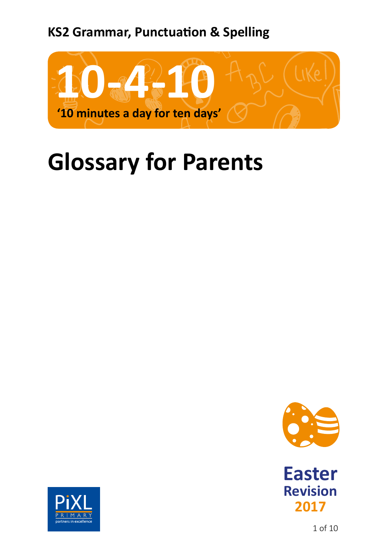## **KS2 Grammar, Punctuation & Spelling**



## **Glossary for Parents**







1 of 10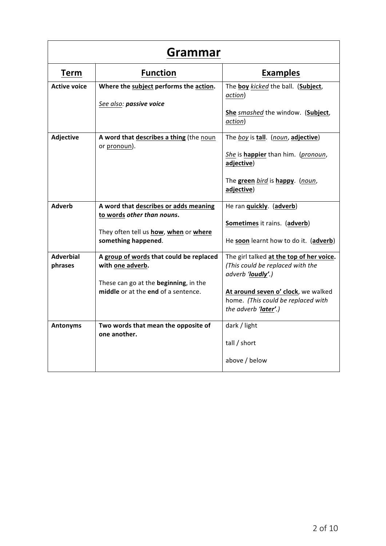| Grammar                     |                                                                                                                                             |                                                                                                                                                                                                        |
|-----------------------------|---------------------------------------------------------------------------------------------------------------------------------------------|--------------------------------------------------------------------------------------------------------------------------------------------------------------------------------------------------------|
| <b>Term</b>                 | <b>Function</b>                                                                                                                             | <b>Examples</b>                                                                                                                                                                                        |
| <b>Active voice</b>         | Where the subject performs the action.<br>See also: passive voice                                                                           | The boy kicked the ball. (Subject,<br>action)<br>She smashed the window. (Subject,<br>action)                                                                                                          |
| <b>Adjective</b>            | A word that describes a thing (the noun<br>or pronoun).                                                                                     | The boy is tall. (noun, adjective)<br>She is happier than him. (pronoun,<br>adjective)<br>The green bird is happy. (noun,<br>adjective)                                                                |
| <b>Adverb</b>               | A word that describes or adds meaning<br>to words other than nouns.<br>They often tell us how, when or where<br>something happened.         | He ran <i>quickly.</i> (adverb)<br>Sometimes it rains. (adverb)<br>He soon learnt how to do it. (adverb)                                                                                               |
| <b>Adverbial</b><br>phrases | A group of words that could be replaced<br>with one adverb.<br>These can go at the beginning, in the<br>middle or at the end of a sentence. | The girl talked at the top of her voice.<br>(This could be replaced with the<br>adverb 'loudly'.)<br>At around seven o' clock, we walked<br>home. (This could be replaced with<br>the adverb 'later'.) |
| <b>Antonyms</b>             | Two words that mean the opposite of<br>one another.                                                                                         | dark / light<br>tall / short<br>above / below                                                                                                                                                          |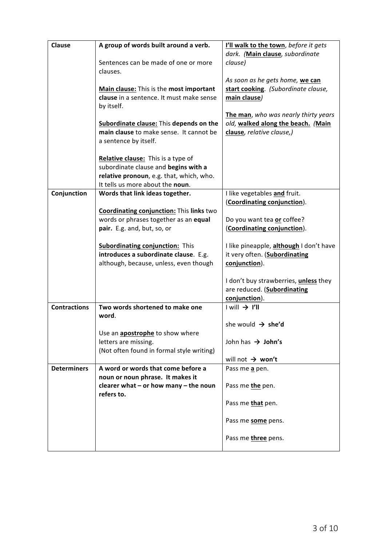| <b>Clause</b>       | A group of words built around a verb.     | I'll walk to the town, before it gets        |
|---------------------|-------------------------------------------|----------------------------------------------|
|                     |                                           |                                              |
|                     |                                           | dark. (Main clause, subordinate              |
|                     | Sentences can be made of one or more      | clause)                                      |
|                     | clauses.                                  |                                              |
|                     |                                           | As soon as he gets home, we can              |
|                     | Main clause: This is the most important   | start cooking. (Subordinate clause,          |
|                     | clause in a sentence. It must make sense  |                                              |
|                     |                                           | main clause)                                 |
|                     | by itself.                                |                                              |
|                     |                                           | The man, who was nearly thirty years         |
|                     | Subordinate clause: This depends on the   | old, walked along the beach. (Main           |
|                     | main clause to make sense. It cannot be   | clause, relative clause,)                    |
|                     | a sentence by itself.                     |                                              |
|                     |                                           |                                              |
|                     | Relative clause: This is a type of        |                                              |
|                     |                                           |                                              |
|                     | subordinate clause and begins with a      |                                              |
|                     | relative pronoun, e.g. that, which, who.  |                                              |
|                     | It tells us more about the noun.          |                                              |
| Conjunction         | Words that link ideas together.           | I like vegetables and fruit.                 |
|                     |                                           | (Coordinating conjunction).                  |
|                     | Coordinating conjunction: This links two  |                                              |
|                     | words or phrases together as an equal     | Do you want tea or coffee?                   |
|                     |                                           |                                              |
|                     | pair. E.g. and, but, so, or               | (Coordinating conjunction).                  |
|                     | <b>Subordinating conjunction:</b> This    | I like pineapple, although I don't have      |
|                     | introduces a subordinate clause. E.g.     | it very often. (Subordinating                |
|                     |                                           |                                              |
|                     | although, because, unless, even though    | conjunction).                                |
|                     |                                           |                                              |
|                     |                                           | I don't buy strawberries, <i>unless</i> they |
|                     |                                           | are reduced. (Subordinating                  |
|                     |                                           | conjunction).                                |
| <b>Contractions</b> | Two words shortened to make one           | $I will \rightarrow I'll$                    |
|                     | word.                                     |                                              |
|                     |                                           | she would $\rightarrow$ she'd                |
|                     | Use an apostrophe to show where           |                                              |
|                     | letters are missing.                      | John has $\rightarrow$ John's                |
|                     |                                           |                                              |
|                     | (Not often found in formal style writing) |                                              |
|                     |                                           | will not $\rightarrow$ won't                 |
| <b>Determiners</b>  | A word or words that come before a        | Pass me a pen.                               |
|                     | noun or noun phrase. It makes it          |                                              |
|                     | clearer what $-$ or how many $-$ the noun | Pass me the pen.                             |
|                     | refers to.                                |                                              |
|                     |                                           | Pass me <b>that</b> pen.                     |
|                     |                                           |                                              |
|                     |                                           | Pass me some pens.                           |
|                     |                                           |                                              |
|                     |                                           | Pass me three pens.                          |
|                     |                                           |                                              |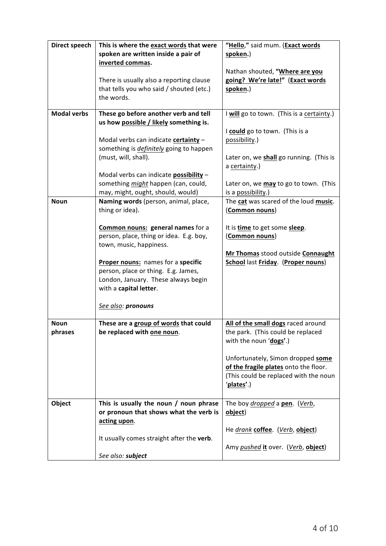| <b>Direct speech</b> | This is where the exact words that were                                  | "Hello," said mum. (Exact words                                            |
|----------------------|--------------------------------------------------------------------------|----------------------------------------------------------------------------|
|                      | spoken are written inside a pair of                                      | spoken.)                                                                   |
|                      | inverted commas.                                                         |                                                                            |
|                      |                                                                          | Nathan shouted, "Where are you                                             |
|                      | There is usually also a reporting clause                                 | going? We're late!" (Exact words                                           |
|                      | that tells you who said / shouted (etc.)<br>the words.                   | spoken.)                                                                   |
|                      |                                                                          |                                                                            |
| <b>Modal verbs</b>   | These go before another verb and tell                                    | I will go to town. (This is a certainty.)                                  |
|                      | us how possible / likely something is.                                   |                                                                            |
|                      |                                                                          | I could go to town. (This is a                                             |
|                      | Modal verbs can indicate certainty -                                     | possibility.)                                                              |
|                      | something is <i>definitely</i> going to happen                           |                                                                            |
|                      | (must, will, shall).                                                     | Later on, we shall go running. (This is                                    |
|                      |                                                                          | a certainty.)                                                              |
|                      | Modal verbs can indicate <b>possibility</b> -                            |                                                                            |
|                      | something might happen (can, could,<br>may, might, ought, should, would) | Later on, we may to go to town. (This<br>is a possibility.)                |
| <b>Noun</b>          | Naming words (person, animal, place,                                     | The cat was scared of the loud music.                                      |
|                      | thing or idea).                                                          | (Common nouns)                                                             |
|                      |                                                                          |                                                                            |
|                      | <b>Common nouns: general names for a</b>                                 | It is <b>time</b> to get some <b>sleep</b> .                               |
|                      | person, place, thing or idea. E.g. boy,                                  | (Common nouns)                                                             |
|                      | town, music, happiness.                                                  |                                                                            |
|                      |                                                                          | Mr Thomas stood outside Connaught                                          |
|                      | Proper nouns: names for a specific                                       | <b>School last Friday. (Proper nouns)</b>                                  |
|                      | person, place or thing. E.g. James,                                      |                                                                            |
|                      | London, January. These always begin                                      |                                                                            |
|                      | with a capital letter.                                                   |                                                                            |
|                      | See also: pronouns                                                       |                                                                            |
|                      |                                                                          |                                                                            |
| <b>Noun</b>          | These are a group of words that could                                    | All of the small dogs raced around                                         |
| phrases              | be replaced with one noun.                                               | the park. (This could be replaced                                          |
|                      |                                                                          | with the noun 'dogs'.)                                                     |
|                      |                                                                          |                                                                            |
|                      |                                                                          | Unfortunately, Simon dropped some<br>of the fragile plates onto the floor. |
|                      |                                                                          | (This could be replaced with the noun                                      |
|                      |                                                                          | 'plates'.)                                                                 |
|                      |                                                                          |                                                                            |
| Object               | This is usually the noun / noun phrase                                   | The boy <i>dropped</i> a pen. (Verb,                                       |
|                      | or pronoun that shows what the verb is                                   | object)                                                                    |
|                      | acting upon.                                                             |                                                                            |
|                      |                                                                          | He drank coffee. (Verb, object)                                            |
|                      | It usually comes straight after the verb.                                |                                                                            |
|                      |                                                                          | Amy pushed it over. (Verb, object)                                         |
|                      | See also: subject                                                        |                                                                            |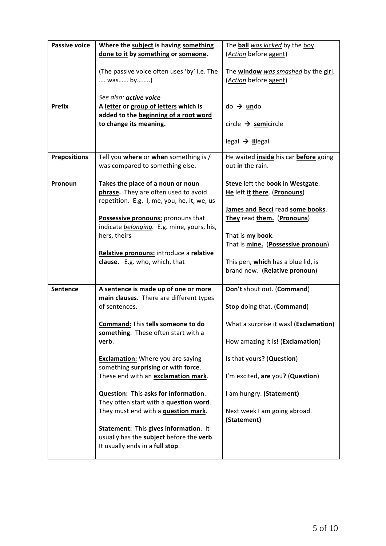| <b>Passive voice</b> | Where the subject is having something                                      | The ball was kicked by the boy.            |
|----------------------|----------------------------------------------------------------------------|--------------------------------------------|
|                      | done to it by something or someone.                                        | (Action before agent)                      |
|                      |                                                                            |                                            |
|                      | (The passive voice often uses 'by' i.e. The                                | The window was smashed by the girl.        |
|                      | was by)                                                                    | (Action before agent)                      |
|                      |                                                                            |                                            |
|                      | See also: active voice                                                     |                                            |
| <b>Prefix</b>        | A letter or group of letters which is                                      | $do \rightarrow$ undo                      |
|                      | added to the beginning of a root word                                      |                                            |
|                      | to change its meaning.                                                     | circle $\rightarrow$ semicircle            |
|                      |                                                                            |                                            |
|                      |                                                                            | $\text{legal} \rightarrow \text{ illegal}$ |
| <b>Prepositions</b>  | Tell you where or when something is /                                      | He waited inside his car before going      |
|                      | was compared to something else.                                            | out in the rain.                           |
|                      |                                                                            |                                            |
| Pronoun              | Takes the place of a noun or noun                                          | Steve left the book in Westgate.           |
|                      | phrase. They are often used to avoid                                       | He left it there. (Pronouns)               |
|                      | repetition. E.g. I, me, you, he, it, we, us                                |                                            |
|                      |                                                                            | James and Becci read some books.           |
|                      | Possessive pronouns: pronouns that                                         | They read them. (Pronouns)                 |
|                      | indicate belonging. E.g. mine, yours, his,                                 |                                            |
|                      | hers, theirs                                                               | That is my book.                           |
|                      |                                                                            | That is mine. (Possessive pronoun)         |
|                      | Relative pronouns: introduce a relative                                    |                                            |
|                      | clause. E.g. who, which, that                                              | This pen, which has a blue lid, is         |
|                      |                                                                            | brand new. (Relative pronoun)              |
| <b>Sentence</b>      | A sentence is made up of one or more                                       | Don't shout out. (Command)                 |
|                      | main clauses. There are different types                                    |                                            |
|                      | of sentences.                                                              | Stop doing that. (Command)                 |
|                      |                                                                            |                                            |
|                      | Command: This tells someone to do                                          | What a surprise it was! (Exclamation)      |
|                      | something. These often start with a                                        |                                            |
|                      | verb.                                                                      | How amazing it is! (Exclamation)           |
|                      |                                                                            |                                            |
|                      | <b>Exclamation:</b> Where you are saying                                   | Is that yours? (Question)                  |
|                      | something surprising or with force.<br>These end with an exclamation mark. |                                            |
|                      |                                                                            | I'm excited, are you? (Question)           |
|                      | Question: This asks for information.                                       | I am hungry. (Statement)                   |
|                      | They often start with a question word.                                     |                                            |
|                      | They must end with a <b>question mark</b> .                                | Next week I am going abroad.               |
|                      |                                                                            | (Statement)                                |
|                      | <b>Statement:</b> This gives information. It                               |                                            |
|                      | usually has the subject before the verb.                                   |                                            |
|                      | It usually ends in a full stop.                                            |                                            |
|                      |                                                                            |                                            |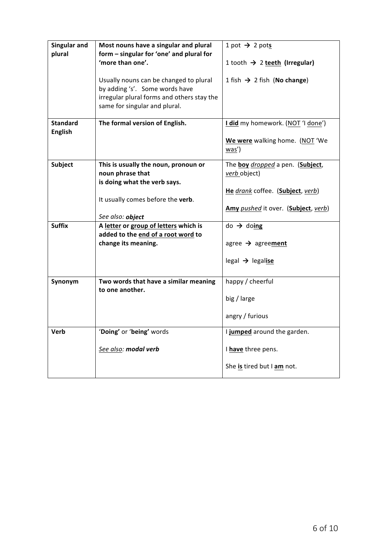| Singular and<br>plural | Most nouns have a singular and plural<br>form - singular for 'one' and plural for                                                                       | 1 pot $\rightarrow$ 2 pots                |
|------------------------|---------------------------------------------------------------------------------------------------------------------------------------------------------|-------------------------------------------|
|                        | 'more than one'.                                                                                                                                        | 1 tooth $\rightarrow$ 2 teeth (Irregular) |
|                        | Usually nouns can be changed to plural<br>by adding 's'. Some words have<br>irregular plural forms and others stay the<br>same for singular and plural. | 1 fish $\rightarrow$ 2 fish (No change)   |
| <b>Standard</b>        | The formal version of English.                                                                                                                          | I did my homework. (NOT 'I done')         |
| <b>English</b>         |                                                                                                                                                         | We were walking home. (NOT 'We<br>was')   |
| <b>Subject</b>         | This is usually the noun, pronoun or                                                                                                                    | The boy dropped a pen. (Subject,          |
|                        | noun phrase that<br>is doing what the verb says.                                                                                                        | verb object)                              |
|                        |                                                                                                                                                         | He drank coffee. (Subject, verb)          |
|                        | It usually comes before the verb.                                                                                                                       |                                           |
|                        | See also: object                                                                                                                                        | Amy pushed it over. (Subject, verb)       |
| <b>Suffix</b>          | A letter or group of letters which is                                                                                                                   | $do \rightarrow doing$                    |
|                        | added to the end of a root word to                                                                                                                      |                                           |
|                        | change its meaning.                                                                                                                                     | agree $\rightarrow$ agreement             |
|                        |                                                                                                                                                         | legal $\rightarrow$ legalise              |
| Synonym                | Two words that have a similar meaning                                                                                                                   | happy / cheerful                          |
|                        | to one another.                                                                                                                                         | big / large                               |
|                        |                                                                                                                                                         | angry / furious                           |
| Verb                   | 'Doing' or 'being' words                                                                                                                                | I jumped around the garden.               |
|                        | See also: modal verb                                                                                                                                    | I have three pens.                        |
|                        |                                                                                                                                                         | She is tired but I am not.                |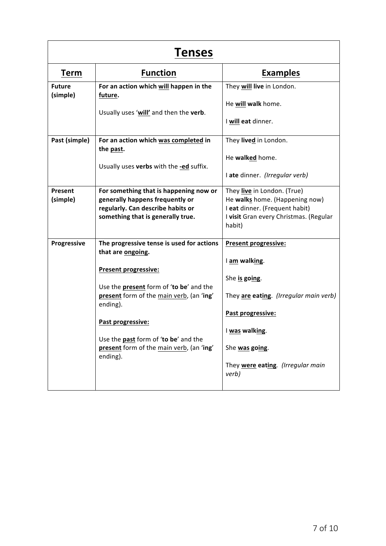| <b>Tenses</b>             |                                                                                                                                                                                                                                                                                                                              |                                                                                                                                                                                                                |
|---------------------------|------------------------------------------------------------------------------------------------------------------------------------------------------------------------------------------------------------------------------------------------------------------------------------------------------------------------------|----------------------------------------------------------------------------------------------------------------------------------------------------------------------------------------------------------------|
| <b>Term</b>               | <b>Function</b>                                                                                                                                                                                                                                                                                                              | <b>Examples</b>                                                                                                                                                                                                |
| <b>Future</b><br>(simple) | For an action which will happen in the<br>future.<br>Usually uses 'will' and then the verb.                                                                                                                                                                                                                                  | They will live in London.<br>He will walk home.<br>I will eat dinner.                                                                                                                                          |
| Past (simple)             | For an action which was completed in<br>the past.<br>Usually uses verbs with the -ed suffix.                                                                                                                                                                                                                                 | They lived in London.<br>He walked home.<br>I ate dinner. (Irregular verb)                                                                                                                                     |
| Present<br>(simple)       | For something that is happening now or<br>generally happens frequently or<br>regularly. Can describe habits or<br>something that is generally true.                                                                                                                                                                          | They live in London. (True)<br>He walks home. (Happening now)<br>I eat dinner. (Frequent habit)<br>I visit Gran every Christmas. (Regular<br>habit)                                                            |
| Progressive               | The progressive tense is used for actions<br>that are ongoing.<br><b>Present progressive:</b><br>Use the <b>present</b> form of 'to be' and the<br>present form of the main verb, (an 'ing'<br>ending).<br>Past progressive:<br>Use the past form of 'to be' and the<br>present form of the main verb, (an 'ing'<br>ending). | <b>Present progressive:</b><br>I am walking.<br>She is going.<br>They are eating. (Irregular main verb)<br>Past progressive:<br>I was walking.<br>She was going.<br>They were eating. (Irregular main<br>verb) |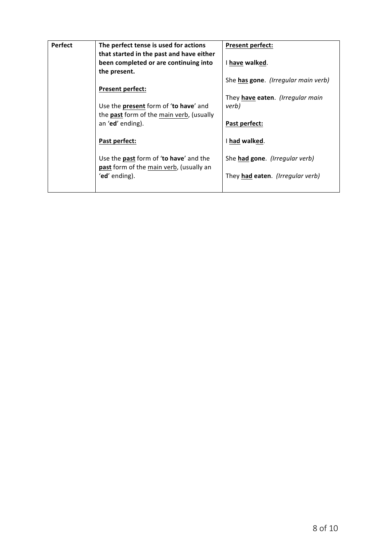| <b>Perfect</b> | The perfect tense is used for actions<br>that started in the past and have either<br>been completed or are continuing into | <b>Present perfect:</b><br>I have walked. |
|----------------|----------------------------------------------------------------------------------------------------------------------------|-------------------------------------------|
|                | the present.                                                                                                               |                                           |
|                | <b>Present perfect:</b>                                                                                                    | She has gone. (Irregular main verb)       |
|                |                                                                                                                            | They have eaten. (Irregular main          |
|                | Use the present form of 'to have' and<br>the <b>past</b> form of the main verb, (usually                                   | verb)                                     |
|                | an 'ed' ending).                                                                                                           | Past perfect:                             |
|                | Past perfect:                                                                                                              | I had walked.                             |
|                | Use the past form of 'to have' and the<br>past form of the main verb, (usually an                                          | She had gone. (Irregular verb)            |
|                | 'ed' ending).                                                                                                              | They had eaten. (Irregular verb)          |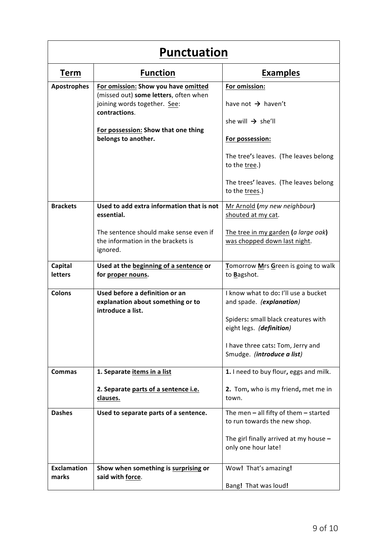| <b>Punctuation</b>          |                                                                                          |                                                                           |
|-----------------------------|------------------------------------------------------------------------------------------|---------------------------------------------------------------------------|
| <b>Term</b>                 | <b>Function</b>                                                                          | <b>Examples</b>                                                           |
| <b>Apostrophes</b>          | For omission: Show you have omitted<br>(missed out) some letters, often when             | For omission:                                                             |
|                             | joining words together. See:<br>contractions.                                            | have not $\rightarrow$ haven't                                            |
|                             | For possession: Show that one thing                                                      | she will $\rightarrow$ she'll                                             |
|                             | belongs to another.                                                                      | For possession:                                                           |
|                             |                                                                                          | The tree's leaves. (The leaves belong<br>to the tree.)                    |
|                             |                                                                                          | The trees' leaves. (The leaves belong<br>to the trees.)                   |
| <b>Brackets</b>             | Used to add extra information that is not<br>essential.                                  | Mr Arnold (my new neighbour)<br>shouted at my cat.                        |
|                             | The sentence should make sense even if<br>the information in the brackets is<br>ignored. | The tree in my garden (a large oak)<br>was chopped down last night.       |
| Capital<br>letters          | Used at the beginning of a sentence or<br>for proper nouns.                              | Tomorrow Mrs Green is going to walk<br>to Bagshot.                        |
| <b>Colons</b>               | Used before a definition or an<br>explanation about something or to<br>introduce a list. | I know what to do: I'll use a bucket<br>and spade. (explanation)          |
|                             |                                                                                          | Spiders: small black creatures with<br>eight legs. (definition)           |
|                             |                                                                                          | I have three cats: Tom, Jerry and<br>Smudge. (introduce a list)           |
| <b>Commas</b>               | 1. Separate items in a list                                                              | 1. I need to buy flour, eggs and milk.                                    |
|                             | 2. Separate parts of a sentence i.e.<br>clauses.                                         | 2. Tom, who is my friend, met me in<br>town.                              |
| <b>Dashes</b>               | Used to separate parts of a sentence.                                                    | The men $-$ all fifty of them $-$ started<br>to run towards the new shop. |
|                             |                                                                                          | The girl finally arrived at my house $-$<br>only one hour late!           |
| <b>Exclamation</b><br>marks | Show when something is surprising or<br>said with force.                                 | Wow! That's amazing!                                                      |
|                             |                                                                                          | Bang! That was loud!                                                      |